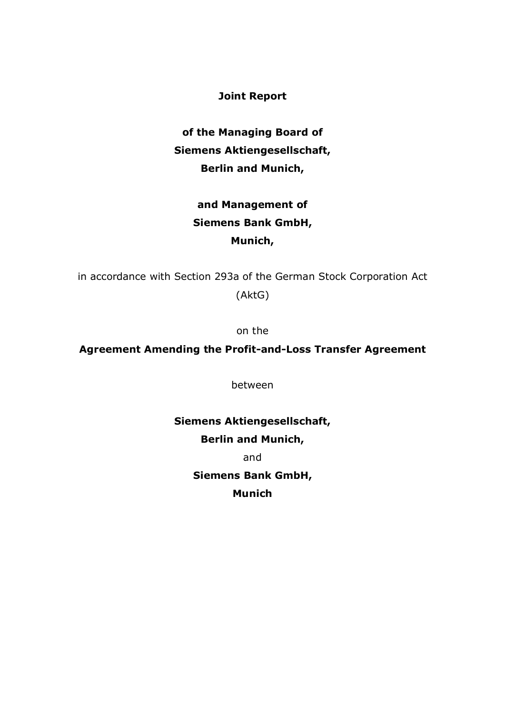**Joint Report**

**of the Managing Board of Siemens Aktiengesellschaft, Berlin and Munich,**

## **and Management of Siemens Bank GmbH, Munich,**

in accordance with Section 293a of the German Stock Corporation Act (AktG)

on the

## **Agreement Amending the Profit-and-Loss Transfer Agreement**

between

# **Siemens Aktiengesellschaft,**

**Berlin and Munich,**

and

**Siemens Bank GmbH,**

**Munich**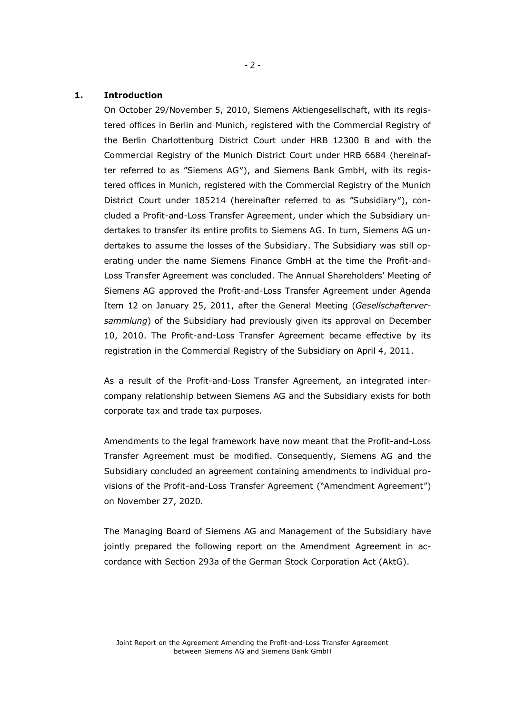#### **1. Introduction**

On October 29/November 5, 2010, Siemens Aktiengesellschaft, with its registered offices in Berlin and Munich, registered with the Commercial Registry of the Berlin Charlottenburg District Court under HRB 12300 B and with the Commercial Registry of the Munich District Court under HRB 6684 (hereinafter referred to as "Siemens AG″), and Siemens Bank GmbH, with its registered offices in Munich, registered with the Commercial Registry of the Munich District Court under 185214 (hereinafter referred to as "Subsidiary″), concluded a Profit-and-Loss Transfer Agreement, under which the Subsidiary undertakes to transfer its entire profits to Siemens AG. In turn, Siemens AG undertakes to assume the losses of the Subsidiary. The Subsidiary was still operating under the name Siemens Finance GmbH at the time the Profit-and-Loss Transfer Agreement was concluded. The Annual Shareholders' Meeting of Siemens AG approved the Profit-and-Loss Transfer Agreement under Agenda Item 12 on January 25, 2011, after the General Meeting (*Gesellschafterversammlung*) of the Subsidiary had previously given its approval on December 10, 2010. The Profit-and-Loss Transfer Agreement became effective by its registration in the Commercial Registry of the Subsidiary on April 4, 2011.

As a result of the Profit-and-Loss Transfer Agreement, an integrated intercompany relationship between Siemens AG and the Subsidiary exists for both corporate tax and trade tax purposes.

Amendments to the legal framework have now meant that the Profit-and-Loss Transfer Agreement must be modified. Consequently, Siemens AG and the Subsidiary concluded an agreement containing amendments to individual provisions of the Profit-and-Loss Transfer Agreement ("Amendment Agreement") on November 27, 2020.

The Managing Board of Siemens AG and Management of the Subsidiary have jointly prepared the following report on the Amendment Agreement in accordance with Section 293a of the German Stock Corporation Act (AktG).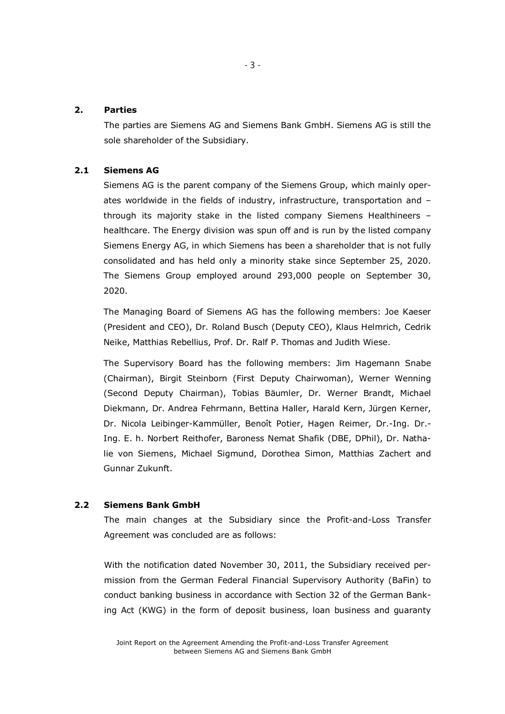#### **2. Parties**

The parties are Siemens AG and Siemens Bank GmbH. Siemens AG is still the sole shareholder of the Subsidiary.

#### **2.1 Siemens AG**

Siemens AG is the parent company of the Siemens Group, which mainly operates worldwide in the fields of industry, infrastructure, transportation and – through its majority stake in the listed company Siemens Healthineers – healthcare. The Energy division was spun off and is run by the listed company Siemens Energy AG, in which Siemens has been a shareholder that is not fully consolidated and has held only a minority stake since September 25, 2020. The Siemens Group employed around 293,000 people on September 30, 2020.

The Managing Board of Siemens AG has the following members: Joe Kaeser (President and CEO), Dr. Roland Busch (Deputy CEO), Klaus Helmrich, Cedrik Neike, Matthias Rebellius, Prof. Dr. Ralf P. Thomas and Judith Wiese.

The Supervisory Board has the following members: Jim Hagemann Snabe (Chairman), Birgit Steinborn (First Deputy Chairwoman), Werner Wenning (Second Deputy Chairman), Tobias Bäumler, Dr. Werner Brandt, Michael Diekmann, Dr. Andrea Fehrmann, Bettina Haller, Harald Kern, Jürgen Kerner, Dr. Nicola Leibinger-Kammüller, Benoît Potier, Hagen Reimer, Dr.-Ing. Dr.- Ing. E. h. Norbert Reithofer, Baroness Nemat Shafik (DBE, DPhil), Dr. Nathalie von Siemens, Michael Sigmund, Dorothea Simon, Matthias Zachert and Gunnar Zukunft.

#### **2.2 Siemens Bank GmbH**

The main changes at the Subsidiary since the Profit-and-Loss Transfer Agreement was concluded are as follows:

With the notification dated November 30, 2011, the Subsidiary received permission from the German Federal Financial Supervisory Authority (BaFin) to conduct banking business in accordance with Section 32 of the German Banking Act (KWG) in the form of deposit business, loan business and guaranty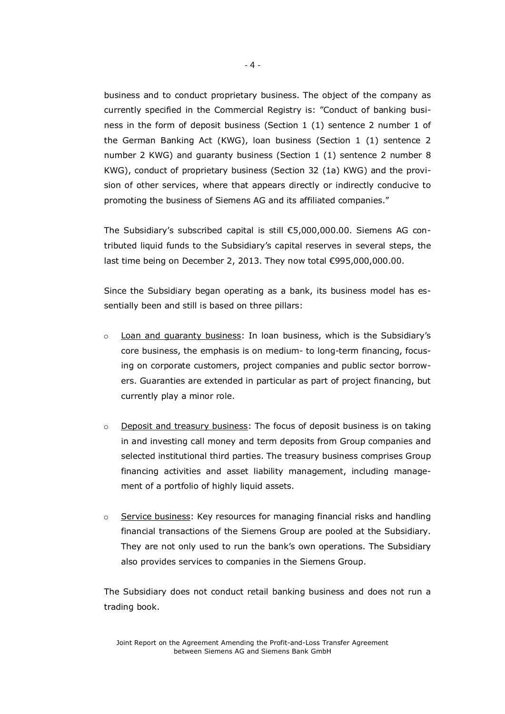business and to conduct proprietary business. The object of the company as currently specified in the Commercial Registry is: "Conduct of banking business in the form of deposit business (Section 1 (1) sentence 2 number 1 of the German Banking Act (KWG), loan business (Section 1 (1) sentence 2 number 2 KWG) and guaranty business (Section 1 (1) sentence 2 number 8 KWG), conduct of proprietary business (Section 32 (1a) KWG) and the provision of other services, where that appears directly or indirectly conducive to promoting the business of Siemens AG and its affiliated companies."

The Subsidiary's subscribed capital is still €5,000,000.00. Siemens AG contributed liquid funds to the Subsidiary's capital reserves in several steps, the last time being on December 2, 2013. They now total €995,000,000.00.

Since the Subsidiary began operating as a bank, its business model has essentially been and still is based on three pillars:

- $\circ$  Loan and quaranty business: In loan business, which is the Subsidiary's core business, the emphasis is on medium- to long-term financing, focusing on corporate customers, project companies and public sector borrowers. Guaranties are extended in particular as part of project financing, but currently play a minor role.
- $\circ$  Deposit and treasury business: The focus of deposit business is on taking in and investing call money and term deposits from Group companies and selected institutional third parties. The treasury business comprises Group financing activities and asset liability management, including management of a portfolio of highly liquid assets.
- $\circ$  Service business: Key resources for managing financial risks and handling financial transactions of the Siemens Group are pooled at the Subsidiary. They are not only used to run the bank's own operations. The Subsidiary also provides services to companies in the Siemens Group.

The Subsidiary does not conduct retail banking business and does not run a trading book.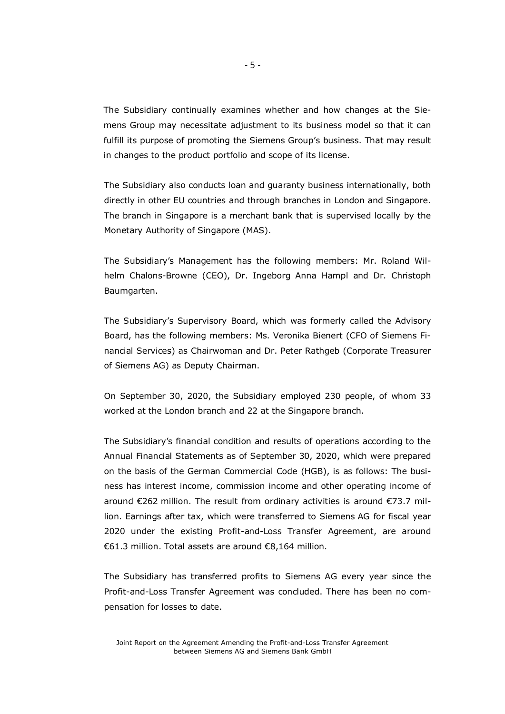The Subsidiary continually examines whether and how changes at the Siemens Group may necessitate adjustment to its business model so that it can fulfill its purpose of promoting the Siemens Group's business. That may result in changes to the product portfolio and scope of its license.

The Subsidiary also conducts loan and guaranty business internationally, both directly in other EU countries and through branches in London and Singapore. The branch in Singapore is a merchant bank that is supervised locally by the Monetary Authority of Singapore (MAS).

The Subsidiary's Management has the following members: Mr. Roland Wilhelm Chalons-Browne (CEO), Dr. Ingeborg Anna Hampl and Dr. Christoph Baumgarten.

The Subsidiary's Supervisory Board, which was formerly called the Advisory Board, has the following members: Ms. Veronika Bienert (CFO of Siemens Financial Services) as Chairwoman and Dr. Peter Rathgeb (Corporate Treasurer of Siemens AG) as Deputy Chairman.

On September 30, 2020, the Subsidiary employed 230 people, of whom 33 worked at the London branch and 22 at the Singapore branch.

The Subsidiary's financial condition and results of operations according to the Annual Financial Statements as of September 30, 2020, which were prepared on the basis of the German Commercial Code (HGB), is as follows: The business has interest income, commission income and other operating income of around €262 million. The result from ordinary activities is around €73.7 million. Earnings after tax, which were transferred to Siemens AG for fiscal year 2020 under the existing Profit-and-Loss Transfer Agreement, are around €61.3 million. Total assets are around €8,164 million.

The Subsidiary has transferred profits to Siemens AG every year since the Profit-and-Loss Transfer Agreement was concluded. There has been no compensation for losses to date.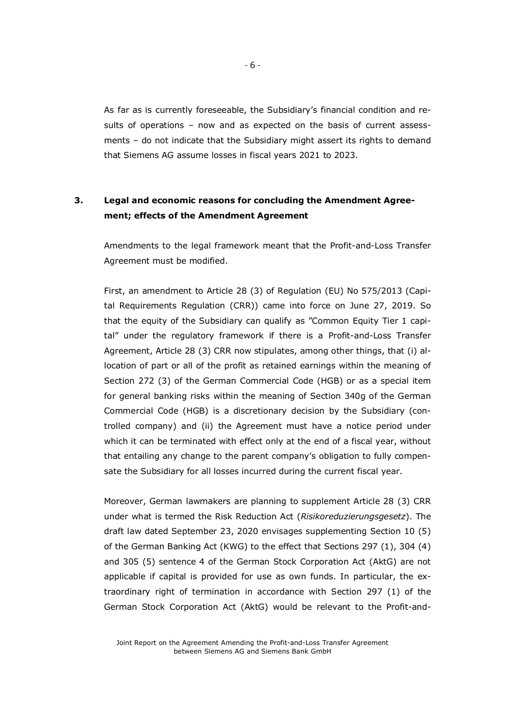As far as is currently foreseeable, the Subsidiary's financial condition and results of operations – now and as expected on the basis of current assessments – do not indicate that the Subsidiary might assert its rights to demand that Siemens AG assume losses in fiscal years 2021 to 2023.

## **3. Legal and economic reasons for concluding the Amendment Agreement; effects of the Amendment Agreement**

Amendments to the legal framework meant that the Profit-and-Loss Transfer Agreement must be modified.

First, an amendment to Article 28 (3) of Regulation (EU) No 575/2013 (Capital Requirements Regulation (CRR)) came into force on June 27, 2019. So that the equity of the Subsidiary can qualify as "Common Equity Tier 1 capital" under the regulatory framework if there is a Profit-and-Loss Transfer Agreement, Article 28 (3) CRR now stipulates, among other things, that (i) allocation of part or all of the profit as retained earnings within the meaning of Section 272 (3) of the German Commercial Code (HGB) or as a special item for general banking risks within the meaning of Section 340g of the German Commercial Code (HGB) is a discretionary decision by the Subsidiary (controlled company) and (ii) the Agreement must have a notice period under which it can be terminated with effect only at the end of a fiscal year, without that entailing any change to the parent company's obligation to fully compensate the Subsidiary for all losses incurred during the current fiscal year.

Moreover, German lawmakers are planning to supplement Article 28 (3) CRR under what is termed the Risk Reduction Act (*Risikoreduzierungsgesetz*). The draft law dated September 23, 2020 envisages supplementing Section 10 (5) of the German Banking Act (KWG) to the effect that Sections 297 (1), 304 (4) and 305 (5) sentence 4 of the German Stock Corporation Act (AktG) are not applicable if capital is provided for use as own funds. In particular, the extraordinary right of termination in accordance with Section 297 (1) of the German Stock Corporation Act (AktG) would be relevant to the Profit-and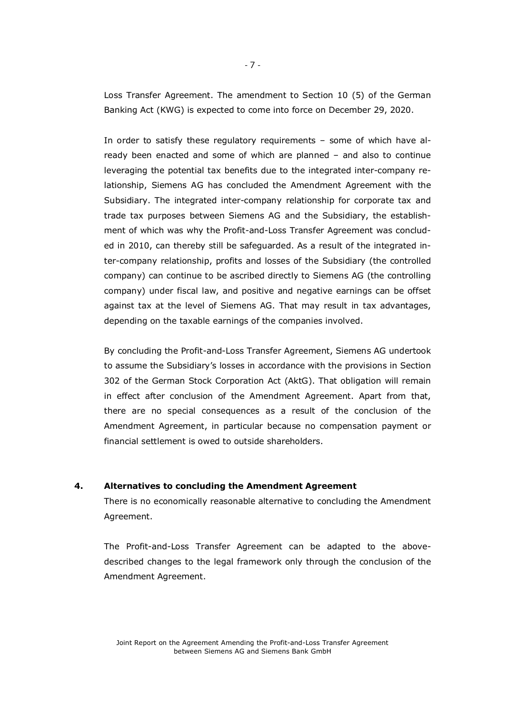Loss Transfer Agreement. The amendment to Section 10 (5) of the German Banking Act (KWG) is expected to come into force on December 29, 2020.

In order to satisfy these regulatory requirements – some of which have already been enacted and some of which are planned – and also to continue leveraging the potential tax benefits due to the integrated inter-company relationship, Siemens AG has concluded the Amendment Agreement with the Subsidiary. The integrated inter-company relationship for corporate tax and trade tax purposes between Siemens AG and the Subsidiary, the establishment of which was why the Profit-and-Loss Transfer Agreement was concluded in 2010, can thereby still be safeguarded. As a result of the integrated inter-company relationship, profits and losses of the Subsidiary (the controlled company) can continue to be ascribed directly to Siemens AG (the controlling company) under fiscal law, and positive and negative earnings can be offset against tax at the level of Siemens AG. That may result in tax advantages, depending on the taxable earnings of the companies involved.

By concluding the Profit-and-Loss Transfer Agreement, Siemens AG undertook to assume the Subsidiary's losses in accordance with the provisions in Section 302 of the German Stock Corporation Act (AktG). That obligation will remain in effect after conclusion of the Amendment Agreement. Apart from that, there are no special consequences as a result of the conclusion of the Amendment Agreement, in particular because no compensation payment or financial settlement is owed to outside shareholders.

#### **4. Alternatives to concluding the Amendment Agreement**

There is no economically reasonable alternative to concluding the Amendment Agreement.

The Profit-and-Loss Transfer Agreement can be adapted to the abovedescribed changes to the legal framework only through the conclusion of the Amendment Agreement.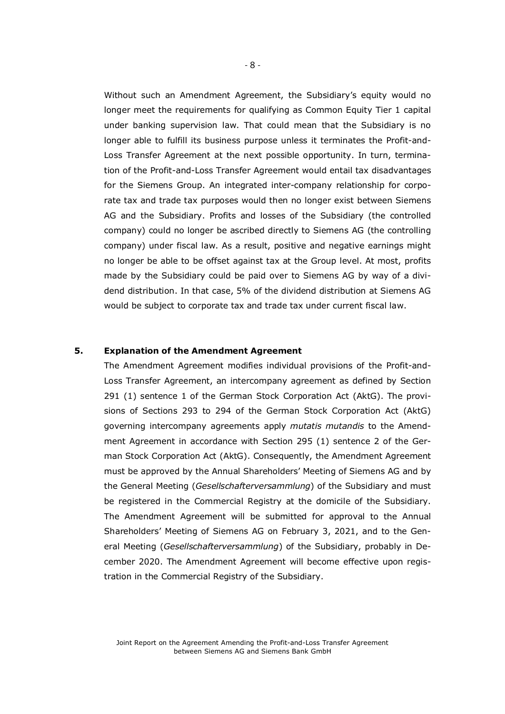Without such an Amendment Agreement, the Subsidiary's equity would no longer meet the requirements for qualifying as Common Equity Tier 1 capital under banking supervision law. That could mean that the Subsidiary is no longer able to fulfill its business purpose unless it terminates the Profit-and-Loss Transfer Agreement at the next possible opportunity. In turn, termination of the Profit-and-Loss Transfer Agreement would entail tax disadvantages for the Siemens Group. An integrated inter-company relationship for corporate tax and trade tax purposes would then no longer exist between Siemens AG and the Subsidiary. Profits and losses of the Subsidiary (the controlled company) could no longer be ascribed directly to Siemens AG (the controlling company) under fiscal law. As a result, positive and negative earnings might no longer be able to be offset against tax at the Group level. At most, profits made by the Subsidiary could be paid over to Siemens AG by way of a dividend distribution. In that case, 5% of the dividend distribution at Siemens AG would be subject to corporate tax and trade tax under current fiscal law.

#### **5. Explanation of the Amendment Agreement**

The Amendment Agreement modifies individual provisions of the Profit-and-Loss Transfer Agreement, an intercompany agreement as defined by Section 291 (1) sentence 1 of the German Stock Corporation Act (AktG). The provisions of Sections 293 to 294 of the German Stock Corporation Act (AktG) governing intercompany agreements apply *mutatis mutandis* to the Amendment Agreement in accordance with Section 295 (1) sentence 2 of the German Stock Corporation Act (AktG). Consequently, the Amendment Agreement must be approved by the Annual Shareholders' Meeting of Siemens AG and by the General Meeting (*Gesellschafterversammlung*) of the Subsidiary and must be registered in the Commercial Registry at the domicile of the Subsidiary. The Amendment Agreement will be submitted for approval to the Annual Shareholders' Meeting of Siemens AG on February 3, 2021, and to the General Meeting (*Gesellschafterversammlung*) of the Subsidiary, probably in December 2020. The Amendment Agreement will become effective upon registration in the Commercial Registry of the Subsidiary.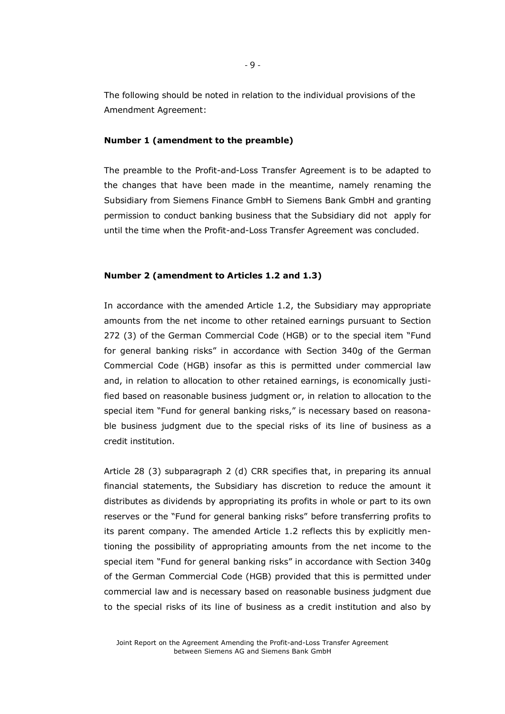The following should be noted in relation to the individual provisions of the Amendment Agreement:

#### **Number 1 (amendment to the preamble)**

The preamble to the Profit-and-Loss Transfer Agreement is to be adapted to the changes that have been made in the meantime, namely renaming the Subsidiary from Siemens Finance GmbH to Siemens Bank GmbH and granting permission to conduct banking business that the Subsidiary did not apply for until the time when the Profit-and-Loss Transfer Agreement was concluded.

#### **Number 2 (amendment to Articles 1.2 and 1.3)**

In accordance with the amended Article 1.2, the Subsidiary may appropriate amounts from the net income to other retained earnings pursuant to Section 272 (3) of the German Commercial Code (HGB) or to the special item "Fund for general banking risks" in accordance with Section 340g of the German Commercial Code (HGB) insofar as this is permitted under commercial law and, in relation to allocation to other retained earnings, is economically justified based on reasonable business judgment or, in relation to allocation to the special item "Fund for general banking risks," is necessary based on reasonable business judgment due to the special risks of its line of business as a credit institution.

Article 28 (3) subparagraph 2 (d) CRR specifies that, in preparing its annual financial statements, the Subsidiary has discretion to reduce the amount it distributes as dividends by appropriating its profits in whole or part to its own reserves or the "Fund for general banking risks" before transferring profits to its parent company. The amended Article 1.2 reflects this by explicitly mentioning the possibility of appropriating amounts from the net income to the special item "Fund for general banking risks" in accordance with Section 340g of the German Commercial Code (HGB) provided that this is permitted under commercial law and is necessary based on reasonable business judgment due to the special risks of its line of business as a credit institution and also by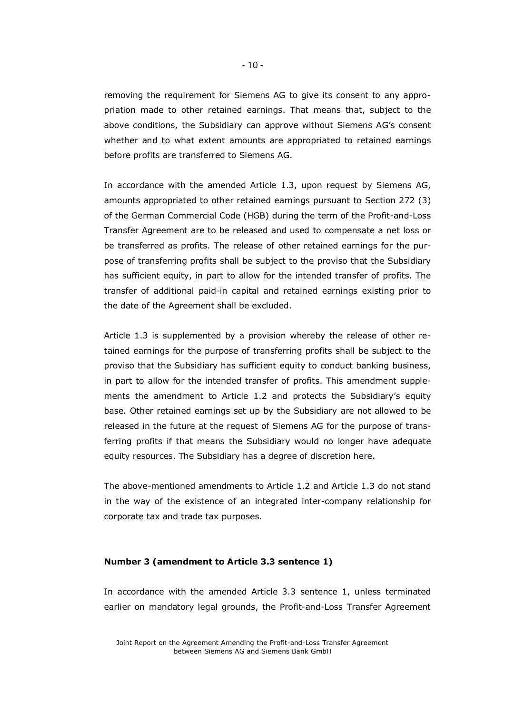removing the requirement for Siemens AG to give its consent to any appropriation made to other retained earnings. That means that, subject to the above conditions, the Subsidiary can approve without Siemens AG's consent whether and to what extent amounts are appropriated to retained earnings before profits are transferred to Siemens AG.

In accordance with the amended Article 1.3, upon request by Siemens AG, amounts appropriated to other retained earnings pursuant to Section 272 (3) of the German Commercial Code (HGB) during the term of the Profit-and-Loss Transfer Agreement are to be released and used to compensate a net loss or be transferred as profits. The release of other retained earnings for the purpose of transferring profits shall be subject to the proviso that the Subsidiary has sufficient equity, in part to allow for the intended transfer of profits. The transfer of additional paid-in capital and retained earnings existing prior to the date of the Agreement shall be excluded.

Article 1.3 is supplemented by a provision whereby the release of other retained earnings for the purpose of transferring profits shall be subject to the proviso that the Subsidiary has sufficient equity to conduct banking business, in part to allow for the intended transfer of profits. This amendment supplements the amendment to Article 1.2 and protects the Subsidiary's equity base. Other retained earnings set up by the Subsidiary are not allowed to be released in the future at the request of Siemens AG for the purpose of transferring profits if that means the Subsidiary would no longer have adequate equity resources. The Subsidiary has a degree of discretion here.

The above-mentioned amendments to Article 1.2 and Article 1.3 do not stand in the way of the existence of an integrated inter-company relationship for corporate tax and trade tax purposes.

#### **Number 3 (amendment to Article 3.3 sentence 1)**

In accordance with the amended Article 3.3 sentence 1, unless terminated earlier on mandatory legal grounds, the Profit-and-Loss Transfer Agreement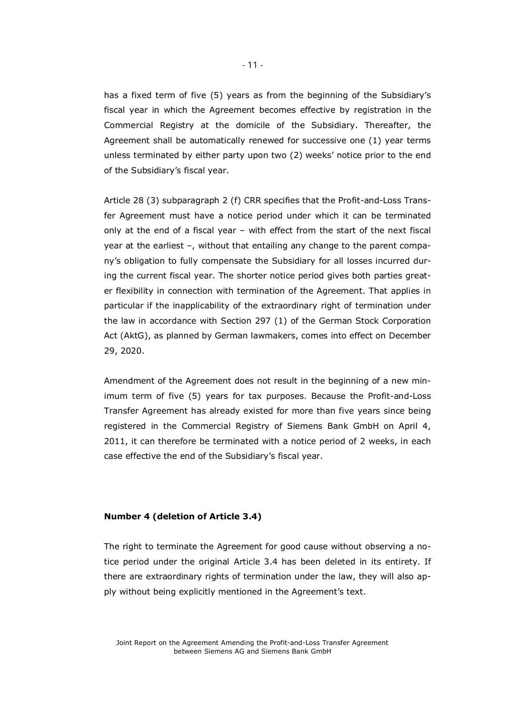has a fixed term of five (5) years as from the beginning of the Subsidiary's fiscal year in which the Agreement becomes effective by registration in the Commercial Registry at the domicile of the Subsidiary. Thereafter, the Agreement shall be automatically renewed for successive one (1) year terms unless terminated by either party upon two (2) weeks' notice prior to the end of the Subsidiary's fiscal year.

Article 28 (3) subparagraph 2 (f) CRR specifies that the Profit-and-Loss Transfer Agreement must have a notice period under which it can be terminated only at the end of a fiscal year – with effect from the start of the next fiscal year at the earliest –, without that entailing any change to the parent company's obligation to fully compensate the Subsidiary for all losses incurred during the current fiscal year. The shorter notice period gives both parties greater flexibility in connection with termination of the Agreement. That applies in particular if the inapplicability of the extraordinary right of termination under the law in accordance with Section 297 (1) of the German Stock Corporation Act (AktG), as planned by German lawmakers, comes into effect on December 29, 2020.

Amendment of the Agreement does not result in the beginning of a new minimum term of five (5) years for tax purposes. Because the Profit-and-Loss Transfer Agreement has already existed for more than five years since being registered in the Commercial Registry of Siemens Bank GmbH on April 4, 2011, it can therefore be terminated with a notice period of 2 weeks, in each case effective the end of the Subsidiary's fiscal year.

#### **Number 4 (deletion of Article 3.4)**

The right to terminate the Agreement for good cause without observing a notice period under the original Article 3.4 has been deleted in its entirety. If there are extraordinary rights of termination under the law, they will also apply without being explicitly mentioned in the Agreement's text.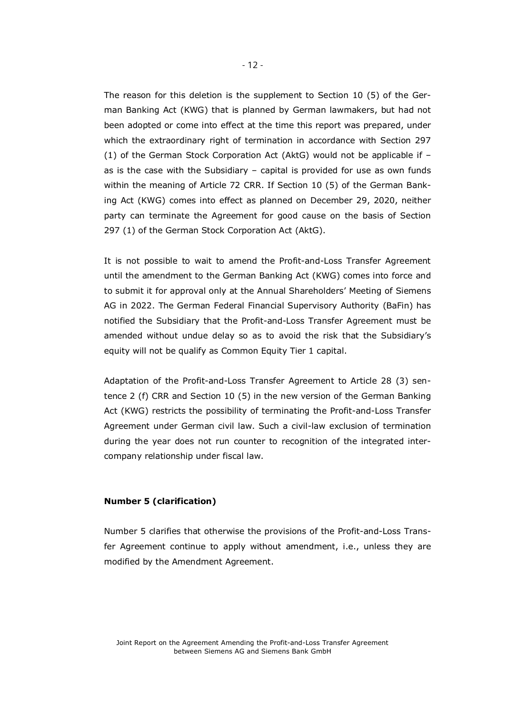The reason for this deletion is the supplement to Section 10 (5) of the German Banking Act (KWG) that is planned by German lawmakers, but had not been adopted or come into effect at the time this report was prepared, under which the extraordinary right of termination in accordance with Section 297 (1) of the German Stock Corporation Act (AktG) would not be applicable if – as is the case with the Subsidiary – capital is provided for use as own funds within the meaning of Article 72 CRR. If Section 10 (5) of the German Banking Act (KWG) comes into effect as planned on December 29, 2020, neither party can terminate the Agreement for good cause on the basis of Section 297 (1) of the German Stock Corporation Act (AktG).

It is not possible to wait to amend the Profit-and-Loss Transfer Agreement until the amendment to the German Banking Act (KWG) comes into force and to submit it for approval only at the Annual Shareholders' Meeting of Siemens AG in 2022. The German Federal Financial Supervisory Authority (BaFin) has notified the Subsidiary that the Profit-and-Loss Transfer Agreement must be amended without undue delay so as to avoid the risk that the Subsidiary's equity will not be qualify as Common Equity Tier 1 capital.

Adaptation of the Profit-and-Loss Transfer Agreement to Article 28 (3) sentence 2 (f) CRR and Section 10 (5) in the new version of the German Banking Act (KWG) restricts the possibility of terminating the Profit-and-Loss Transfer Agreement under German civil law. Such a civil-law exclusion of termination during the year does not run counter to recognition of the integrated intercompany relationship under fiscal law.

#### **Number 5 (clarification)**

Number 5 clarifies that otherwise the provisions of the Profit-and-Loss Transfer Agreement continue to apply without amendment, i.e., unless they are modified by the Amendment Agreement.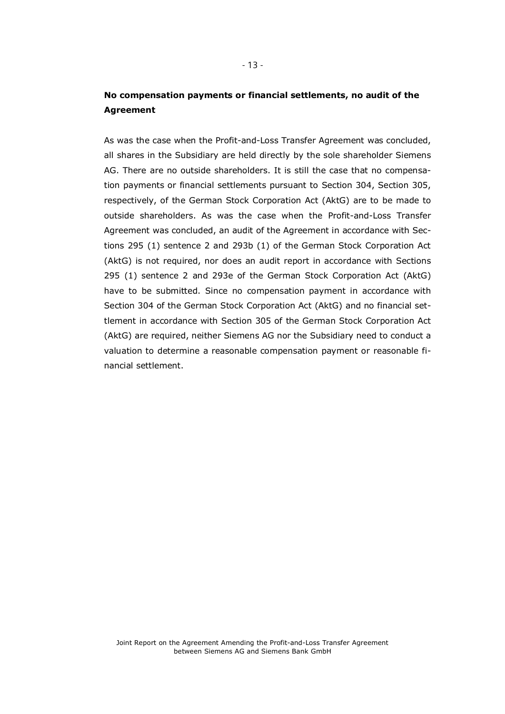## **No compensation payments or financial settlements, no audit of the Agreement**

As was the case when the Profit-and-Loss Transfer Agreement was concluded, all shares in the Subsidiary are held directly by the sole shareholder Siemens AG. There are no outside shareholders. It is still the case that no compensation payments or financial settlements pursuant to Section 304, Section 305, respectively, of the German Stock Corporation Act (AktG) are to be made to outside shareholders. As was the case when the Profit-and-Loss Transfer Agreement was concluded, an audit of the Agreement in accordance with Sections 295 (1) sentence 2 and 293b (1) of the German Stock Corporation Act (AktG) is not required, nor does an audit report in accordance with Sections 295 (1) sentence 2 and 293e of the German Stock Corporation Act (AktG) have to be submitted. Since no compensation payment in accordance with Section 304 of the German Stock Corporation Act (AktG) and no financial settlement in accordance with Section 305 of the German Stock Corporation Act (AktG) are required, neither Siemens AG nor the Subsidiary need to conduct a valuation to determine a reasonable compensation payment or reasonable financial settlement.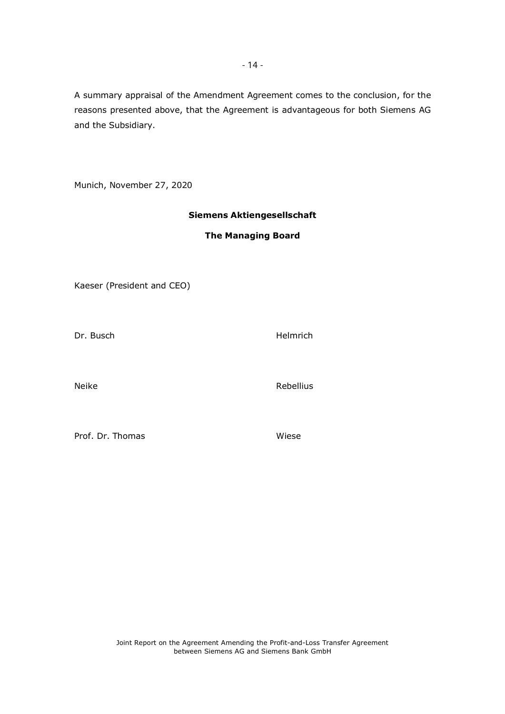A summary appraisal of the Amendment Agreement comes to the conclusion, for the reasons presented above, that the Agreement is advantageous for both Siemens AG and the Subsidiary.

Munich, November 27, 2020

#### **Siemens Aktiengesellschaft**

#### **The Managing Board**

Kaeser (President and CEO)

Dr. Busch **Helmrich** 

Neike Rebellius

Prof. Dr. Thomas Wiese